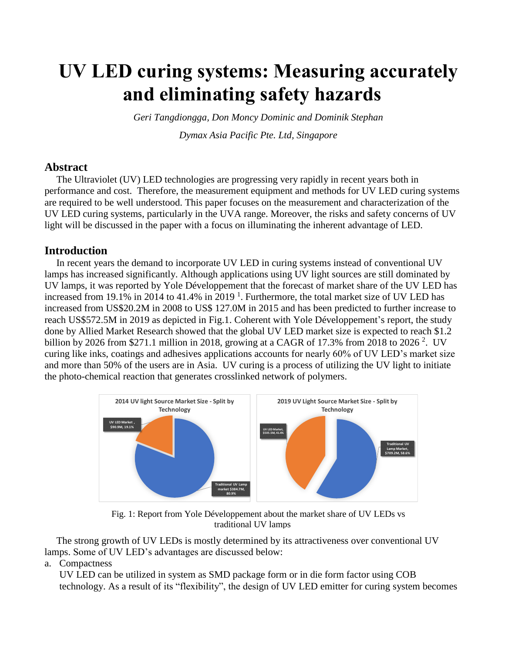# **UV LED curing systems: Measuring accurately and eliminating safety hazards**

*Geri Tangdiongga, Don Moncy Dominic and Dominik Stephan*

*Dymax Asia Pacific Pte. Ltd, Singapore*

# **Abstract**

The Ultraviolet (UV) LED technologies are progressing very rapidly in recent years both in performance and cost. Therefore, the measurement equipment and methods for UV LED curing systems are required to be well understood. This paper focuses on the measurement and characterization of the UV LED curing systems, particularly in the UVA range. Moreover, the risks and safety concerns of UV light will be discussed in the paper with a focus on illuminating the inherent advantage of LED.

# **Introduction**

In recent years the demand to incorporate UV LED in curing systems instead of conventional UV lamps has increased significantly. Although applications using UV light sources are still dominated by UV lamps, it was reported by Yole Développement that the forecast of market share of the UV LED has increased from 19.1% in 2014 to 41.4% in 2019<sup>1</sup>. Furthermore, the total market size of UV LED has increased from US\$20.2M in 2008 to US\$ 127.0M in 2015 and has been predicted to further increase to reach US\$572.5M in 2019 as depicted in Fig.1. Coherent with Yole Développement's report, the study done by Allied Market Research showed that the global UV LED market size is expected to reach \$1.2 billion by 2026 from \$271.1 million in 2018, growing at a CAGR of 17.3% from 2018 to 2026<sup>2</sup>. UV curing like inks, coatings and adhesives applications accounts for nearly 60% of UV LED's market size and more than 50% of the users are in Asia. UV curing is a process of utilizing the UV light to initiate the photo-chemical reaction that generates crosslinked network of polymers.



Fig. 1: Report from Yole Développement about the market share of UV LEDs vs traditional UV lamps

The strong growth of UV LEDs is mostly determined by its attractiveness over conventional UV lamps. Some of UV LED's advantages are discussed below:

a. Compactness

UV LED can be utilized in system as SMD package form or in die form factor using COB technology. As a result of its "flexibility", the design of UV LED emitter for curing system becomes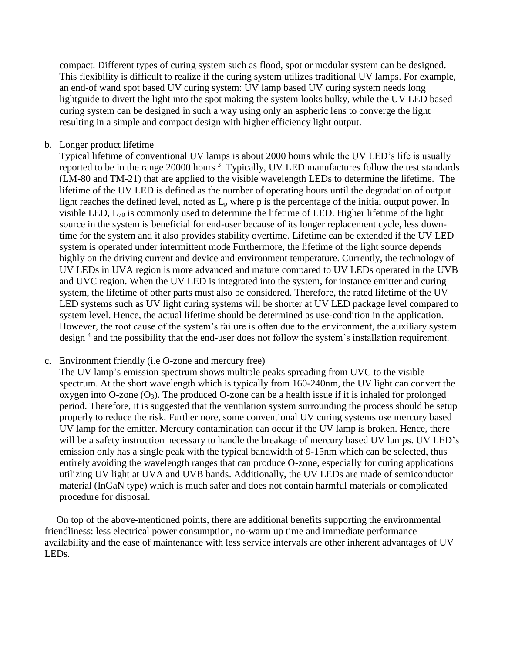compact. Different types of curing system such as flood, spot or modular system can be designed. This flexibility is difficult to realize if the curing system utilizes traditional UV lamps. For example, an end-of wand spot based UV curing system: UV lamp based UV curing system needs long lightguide to divert the light into the spot making the system looks bulky, while the UV LED based curing system can be designed in such a way using only an aspheric lens to converge the light resulting in a simple and compact design with higher efficiency light output.

b. Longer product lifetime

Typical lifetime of conventional UV lamps is about 2000 hours while the UV LED's life is usually reported to be in the range 20000 hours<sup>3</sup>. Typically, UV LED manufactures follow the test standards (LM-80 and TM-21) that are applied to the visible wavelength LEDs to determine the lifetime. The lifetime of the UV LED is defined as the number of operating hours until the degradation of output light reaches the defined level, noted as  $L<sub>p</sub>$  where p is the percentage of the initial output power. In visible LED, L<sup>70</sup> is commonly used to determine the lifetime of LED. Higher lifetime of the light source in the system is beneficial for end-user because of its longer replacement cycle, less downtime for the system and it also provides stability overtime. Lifetime can be extended if the UV LED system is operated under intermittent mode Furthermore, the lifetime of the light source depends highly on the driving current and device and environment temperature. Currently, the technology of UV LEDs in UVA region is more advanced and mature compared to UV LEDs operated in the UVB and UVC region. When the UV LED is integrated into the system, for instance emitter and curing system, the lifetime of other parts must also be considered. Therefore, the rated lifetime of the UV LED systems such as UV light curing systems will be shorter at UV LED package level compared to system level. Hence, the actual lifetime should be determined as use-condition in the application. However, the root cause of the system's failure is often due to the environment, the auxiliary system design<sup>4</sup> and the possibility that the end-user does not follow the system's installation requirement.

### c. Environment friendly (i.e O-zone and mercury free)

The UV lamp's emission spectrum shows multiple peaks spreading from UVC to the visible spectrum. At the short wavelength which is typically from 160-240nm, the UV light can convert the oxygen into O-zone  $(O_3)$ . The produced O-zone can be a health issue if it is inhaled for prolonged period. Therefore, it is suggested that the ventilation system surrounding the process should be setup properly to reduce the risk. Furthermore, some conventional UV curing systems use mercury based UV lamp for the emitter. Mercury contamination can occur if the UV lamp is broken. Hence, there will be a safety instruction necessary to handle the breakage of mercury based UV lamps. UV LED's emission only has a single peak with the typical bandwidth of 9-15nm which can be selected, thus entirely avoiding the wavelength ranges that can produce O-zone, especially for curing applications utilizing UV light at UVA and UVB bands. Additionally, the UV LEDs are made of semiconductor material (InGaN type) which is much safer and does not contain harmful materials or complicated procedure for disposal.

On top of the above-mentioned points, there are additional benefits supporting the environmental friendliness: less electrical power consumption, no-warm up time and immediate performance availability and the ease of maintenance with less service intervals are other inherent advantages of UV LEDs.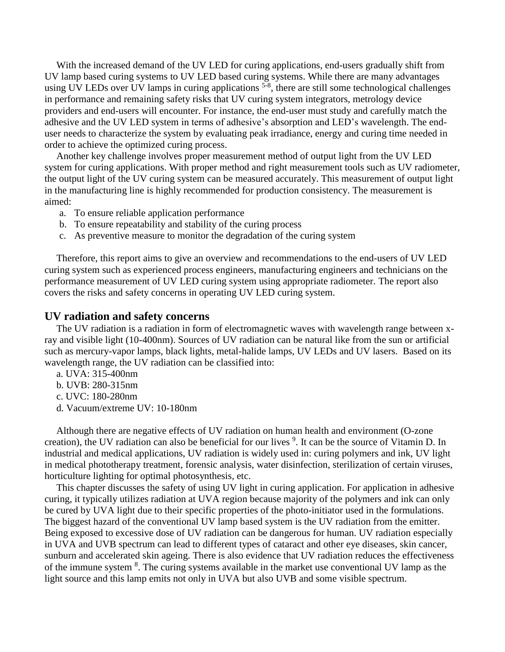With the increased demand of the UV LED for curing applications, end-users gradually shift from UV lamp based curing systems to UV LED based curing systems. While there are many advantages using UV LEDs over UV lamps in curing applications <sup>5-8</sup>, there are still some technological challenges in performance and remaining safety risks that UV curing system integrators, metrology device providers and end-users will encounter. For instance, the end-user must study and carefully match the adhesive and the UV LED system in terms of adhesive's absorption and LED's wavelength. The enduser needs to characterize the system by evaluating peak irradiance, energy and curing time needed in order to achieve the optimized curing process.

Another key challenge involves proper measurement method of output light from the UV LED system for curing applications. With proper method and right measurement tools such as UV radiometer, the output light of the UV curing system can be measured accurately. This measurement of output light in the manufacturing line is highly recommended for production consistency. The measurement is aimed:

- a. To ensure reliable application performance
- b. To ensure repeatability and stability of the curing process
- c. As preventive measure to monitor the degradation of the curing system

Therefore, this report aims to give an overview and recommendations to the end-users of UV LED curing system such as experienced process engineers, manufacturing engineers and technicians on the performance measurement of UV LED curing system using appropriate radiometer. The report also covers the risks and safety concerns in operating UV LED curing system.

#### **UV radiation and safety concerns**

The UV radiation is a radiation in form of electromagnetic waves with wavelength range between xray and visible light (10-400nm). Sources of UV radiation can be natural like from the sun or artificial such as mercury-vapor lamps, black lights, metal-halide lamps, UV LEDs and UV lasers. Based on its wavelength range, the UV radiation can be classified into:

- a. UVA: 315-400nm
- b. UVB: 280-315nm
- c. UVC: 180-280nm
- d. Vacuum/extreme UV: 10-180nm

Although there are negative effects of UV radiation on human health and environment (O-zone creation), the UV radiation can also be beneficial for our lives <sup>9</sup>. It can be the source of Vitamin D. In industrial and medical applications, UV radiation is widely used in: curing polymers and ink, UV light in medical phototherapy treatment, forensic analysis, water disinfection, sterilization of certain viruses, horticulture lighting for optimal photosynthesis, etc.

This chapter discusses the safety of using UV light in curing application. For application in adhesive curing, it typically utilizes radiation at UVA region because majority of the polymers and ink can only be cured by UVA light due to their specific properties of the photo-initiator used in the formulations. The biggest hazard of the conventional UV lamp based system is the UV radiation from the emitter. Being exposed to excessive dose of UV radiation can be dangerous for human. UV radiation especially in UVA and UVB spectrum can lead to different types of cataract and other eye diseases, skin cancer, sunburn and accelerated skin ageing. There is also evidence that UV radiation reduces the effectiveness of the immune system <sup>8</sup>. The curing systems available in the market use conventional UV lamp as the light source and this lamp emits not only in UVA but also UVB and some visible spectrum.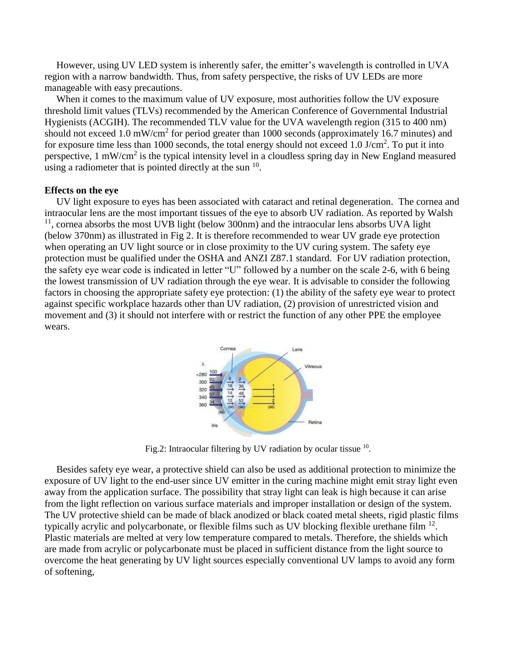However, using UV LED system is inherently safer, the emitter's wavelength is controlled in UVA region with a narrow bandwidth. Thus, from safety perspective, the risks of UV LEDs are more manageable with easy precautions.

When it comes to the maximum value of UV exposure, most authorities follow the UV exposure threshold limit values (TLVs) recommended by the American Conference of Governmental Industrial Hygienists (ACGIH). The recommended TLV value for the UVA wavelength region (315 to 400 nm) should not exceed 1.0 mW/cm<sup>2</sup> for period greater than 1000 seconds (approximately 16.7 minutes) and for exposure time less than 1000 seconds, the total energy should not exceed 1.0 J/cm<sup>2</sup>. To put it into perspective, 1 mW/cm<sup>2</sup> is the typical intensity level in a cloudless spring day in New England measured using a radiometer that is pointed directly at the sun  $10$ .

### **Effects on the eye**

UV light exposure to eyes has been associated with cataract and retinal degeneration. The cornea and intraocular lens are the most important tissues of the eye to absorb UV radiation. As reported by Walsh <sup>11</sup>, cornea absorbs the most UVB light (below 300nm) and the intraocular lens absorbs UVA light (below 370nm) as illustrated in Fig 2. It is therefore recommended to wear UV grade eye protection when operating an UV light source or in close proximity to the UV curing system. The safety eye protection must be qualified under the OSHA and ANZI Z87.1 standard. For UV radiation protection, the safety eye wear code is indicated in letter "U" followed by a number on the scale 2-6, with 6 being the lowest transmission of UV radiation through the eye wear. It is advisable to consider the following factors in choosing the appropriate safety eye protection: (1) the ability of the safety eye wear to protect against specific workplace hazards other than UV radiation, (2) provision of unrestricted vision and movement and (3) it should not interfere with or restrict the function of any other PPE the employee wears.



Fig.2: Intraocular filtering by UV radiation by ocular tissue  $10$ .

Besides safety eye wear, a protective shield can also be used as additional protection to minimize the exposure of UV light to the end-user since UV emitter in the curing machine might emit stray light even away from the application surface. The possibility that stray light can leak is high because it can arise from the light reflection on various surface materials and improper installation or design of the system. The UV protective shield can be made of black anodized or black coated metal sheets, rigid plastic films typically acrylic and polycarbonate, or flexible films such as UV blocking flexible urethane film  $^{12}$ . Plastic materials are melted at very low temperature compared to metals. Therefore, the shields which are made from acrylic or polycarbonate must be placed in sufficient distance from the light source to overcome the heat generating by UV light sources especially conventional UV lamps to avoid any form of softening,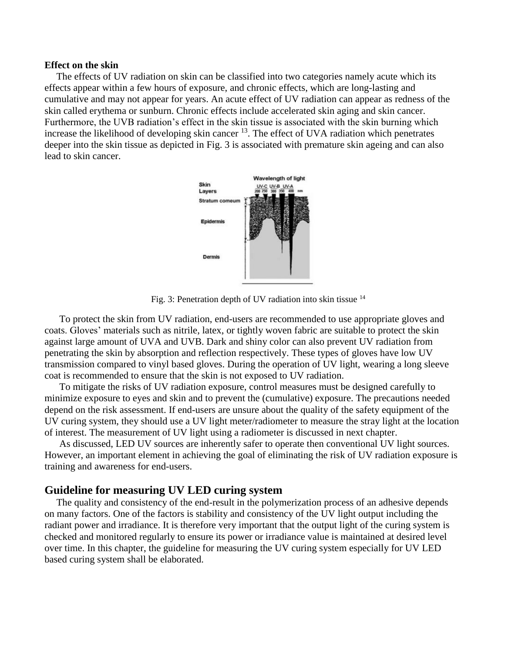#### **Effect on the skin**

The effects of UV radiation on skin can be classified into two categories namely acute which its effects appear within a few hours of exposure, and chronic effects, which are long-lasting and cumulative and may not appear for years. An acute effect of UV radiation can appear as redness of the skin called erythema or sunburn. Chronic effects include accelerated skin aging and skin cancer. Furthermore, the UVB radiation's effect in the skin tissue is associated with the skin burning which increase the likelihood of developing skin cancer  $^{13}$ . The effect of UVA radiation which penetrates deeper into the skin tissue as depicted in Fig. 3 is associated with premature skin ageing and can also lead to skin cancer.



Fig. 3: Penetration depth of UV radiation into skin tissue 14

To protect the skin from UV radiation, end-users are recommended to use appropriate gloves and coats. Gloves' materials such as nitrile, latex, or tightly woven fabric are suitable to protect the skin against large amount of UVA and UVB. Dark and shiny color can also prevent UV radiation from penetrating the skin by absorption and reflection respectively. These types of gloves have low UV transmission compared to vinyl based gloves. During the operation of UV light, wearing a long sleeve coat is recommended to ensure that the skin is not exposed to UV radiation.

To mitigate the risks of UV radiation exposure, control measures must be designed carefully to minimize exposure to eyes and skin and to prevent the (cumulative) exposure. The precautions needed depend on the risk assessment. If end-users are unsure about the quality of the safety equipment of the UV curing system, they should use a UV light meter/radiometer to measure the stray light at the location of interest. The measurement of UV light using a radiometer is discussed in next chapter.

As discussed, LED UV sources are inherently safer to operate then conventional UV light sources. However, an important element in achieving the goal of eliminating the risk of UV radiation exposure is training and awareness for end-users.

## **Guideline for measuring UV LED curing system**

The quality and consistency of the end-result in the polymerization process of an adhesive depends on many factors. One of the factors is stability and consistency of the UV light output including the radiant power and irradiance. It is therefore very important that the output light of the curing system is checked and monitored regularly to ensure its power or irradiance value is maintained at desired level over time. In this chapter, the guideline for measuring the UV curing system especially for UV LED based curing system shall be elaborated.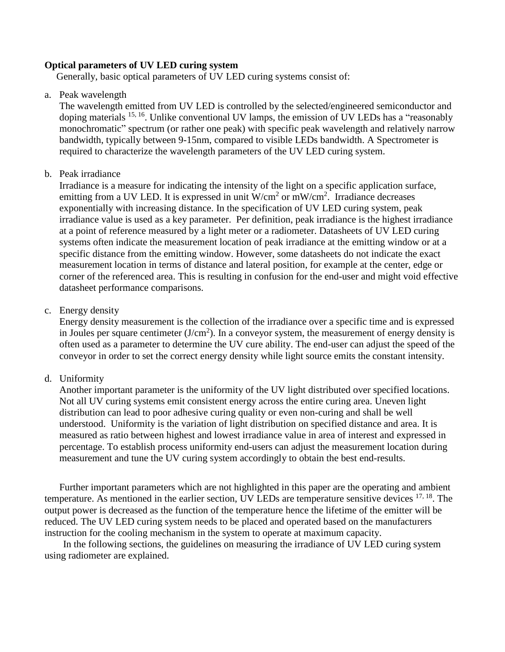## **Optical parameters of UV LED curing system**

Generally, basic optical parameters of UV LED curing systems consist of:

a. Peak wavelength

The wavelength emitted from UV LED is controlled by the selected/engineered semiconductor and doping materials <sup>15, 16</sup>. Unlike conventional UV lamps, the emission of UV LEDs has a "reasonably monochromatic" spectrum (or rather one peak) with specific peak wavelength and relatively narrow bandwidth, typically between 9-15nm, compared to visible LEDs bandwidth. A Spectrometer is required to characterize the wavelength parameters of the UV LED curing system.

## b. Peak irradiance

Irradiance is a measure for indicating the intensity of the light on a specific application surface, emitting from a UV LED. It is expressed in unit  $W/cm^2$  or  $mW/cm^2$ . Irradiance decreases exponentially with increasing distance. In the specification of UV LED curing system, peak irradiance value is used as a key parameter. Per definition, peak irradiance is the highest irradiance at a point of reference measured by a light meter or a radiometer. Datasheets of UV LED curing systems often indicate the measurement location of peak irradiance at the emitting window or at a specific distance from the emitting window. However, some datasheets do not indicate the exact measurement location in terms of distance and lateral position, for example at the center, edge or corner of the referenced area. This is resulting in confusion for the end-user and might void effective datasheet performance comparisons.

# c. Energy density

Energy density measurement is the collection of the irradiance over a specific time and is expressed in Joules per square centimeter  $(J/cm<sup>2</sup>)$ . In a conveyor system, the measurement of energy density is often used as a parameter to determine the UV cure ability. The end-user can adjust the speed of the conveyor in order to set the correct energy density while light source emits the constant intensity.

# d. Uniformity

Another important parameter is the uniformity of the UV light distributed over specified locations. Not all UV curing systems emit consistent energy across the entire curing area. Uneven light distribution can lead to poor adhesive curing quality or even non-curing and shall be well understood. Uniformity is the variation of light distribution on specified distance and area. It is measured as ratio between highest and lowest irradiance value in area of interest and expressed in percentage. To establish process uniformity end-users can adjust the measurement location during measurement and tune the UV curing system accordingly to obtain the best end-results.

Further important parameters which are not highlighted in this paper are the operating and ambient temperature. As mentioned in the earlier section, UV LEDs are temperature sensitive devices <sup>17, 18</sup>. The output power is decreased as the function of the temperature hence the lifetime of the emitter will be reduced. The UV LED curing system needs to be placed and operated based on the manufacturers instruction for the cooling mechanism in the system to operate at maximum capacity.

In the following sections, the guidelines on measuring the irradiance of UV LED curing system using radiometer are explained.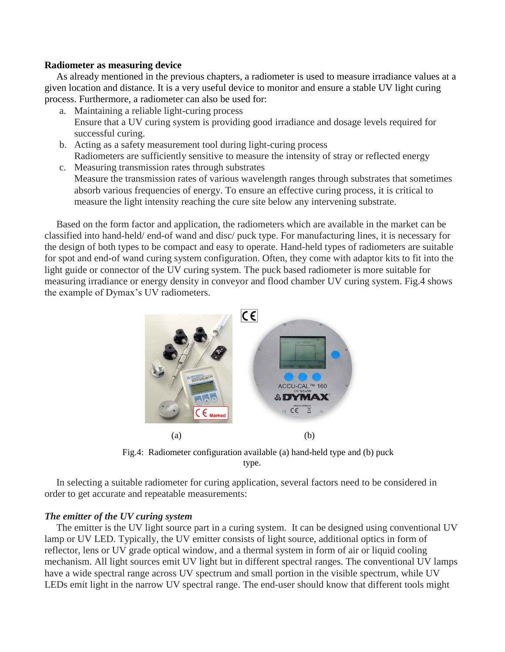## **Radiometer as measuring device**

As already mentioned in the previous chapters, a radiometer is used to measure irradiance values at a given location and distance. It is a very useful device to monitor and ensure a stable UV light curing process. Furthermore, a radiometer can also be used for:

- a. Maintaining a reliable light-curing process Ensure that a UV curing system is providing good irradiance and dosage levels required for successful curing.
- b. Acting as a safety measurement tool during light-curing process Radiometers are sufficiently sensitive to measure the intensity of stray or reflected energy
- c. Measuring transmission rates through substrates Measure the transmission rates of various wavelength ranges through substrates that sometimes absorb various frequencies of energy. To ensure an effective curing process, it is critical to measure the light intensity reaching the cure site below any intervening substrate.

Based on the form factor and application, the radiometers which are available in the market can be classified into hand-held/ end-of wand and disc/ puck type. For manufacturing lines, it is necessary for the design of both types to be compact and easy to operate. Hand-held types of radiometers are suitable for spot and end-of wand curing system configuration. Often, they come with adaptor kits to fit into the light guide or connector of the UV curing system. The puck based radiometer is more suitable for measuring irradiance or energy density in conveyor and flood chamber UV curing system. Fig.4 shows the example of Dymax's UV radiometers.



Fig.4: Radiometer configuration available (a) hand-held type and (b) puck type.

In selecting a suitable radiometer for curing application, several factors need to be considered in order to get accurate and repeatable measurements:

## *The emitter of the UV curing system*

The emitter is the UV light source part in a curing system. It can be designed using conventional UV lamp or UV LED. Typically, the UV emitter consists of light source, additional optics in form of reflector, lens or UV grade optical window, and a thermal system in form of air or liquid cooling mechanism. All light sources emit UV light but in different spectral ranges. The conventional UV lamps have a wide spectral range across UV spectrum and small portion in the visible spectrum, while UV LEDs emit light in the narrow UV spectral range. The end-user should know that different tools might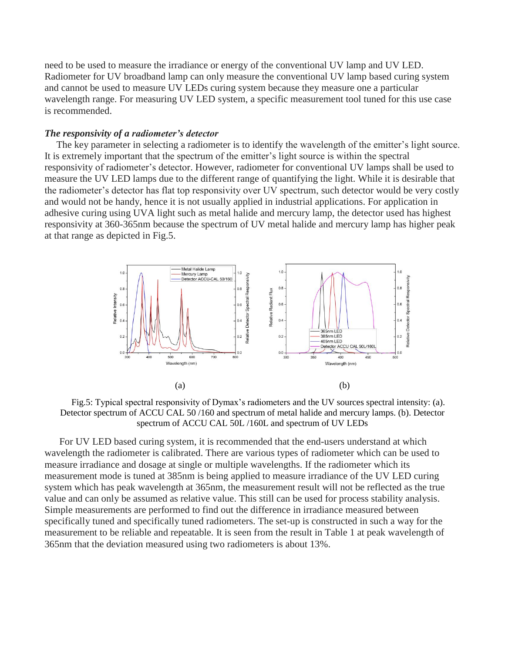need to be used to measure the irradiance or energy of the conventional UV lamp and UV LED. Radiometer for UV broadband lamp can only measure the conventional UV lamp based curing system and cannot be used to measure UV LEDs curing system because they measure one a particular wavelength range. For measuring UV LED system, a specific measurement tool tuned for this use case is recommended.

#### *The responsivity of a radiometer's detector*

The key parameter in selecting a radiometer is to identify the wavelength of the emitter's light source. It is extremely important that the spectrum of the emitter's light source is within the spectral responsivity of radiometer's detector. However, radiometer for conventional UV lamps shall be used to measure the UV LED lamps due to the different range of quantifying the light. While it is desirable that the radiometer's detector has flat top responsivity over UV spectrum, such detector would be very costly and would not be handy, hence it is not usually applied in industrial applications. For application in adhesive curing using UVA light such as metal halide and mercury lamp, the detector used has highest responsivity at 360-365nm because the spectrum of UV metal halide and mercury lamp has higher peak at that range as depicted in Fig.5.



Fig.5: Typical spectral responsivity of Dymax's radiometers and the UV sources spectral intensity: (a). Detector spectrum of ACCU CAL 50 /160 and spectrum of metal halide and mercury lamps. (b). Detector spectrum of ACCU CAL 50L /160L and spectrum of UV LEDs

For UV LED based curing system, it is recommended that the end-users understand at which wavelength the radiometer is calibrated. There are various types of radiometer which can be used to measure irradiance and dosage at single or multiple wavelengths. If the radiometer which its measurement mode is tuned at 385nm is being applied to measure irradiance of the UV LED curing system which has peak wavelength at 365nm, the measurement result will not be reflected as the true value and can only be assumed as relative value. This still can be used for process stability analysis. Simple measurements are performed to find out the difference in irradiance measured between specifically tuned and specifically tuned radiometers. The set-up is constructed in such a way for the measurement to be reliable and repeatable. It is seen from the result in Table 1 at peak wavelength of 365nm that the deviation measured using two radiometers is about 13%.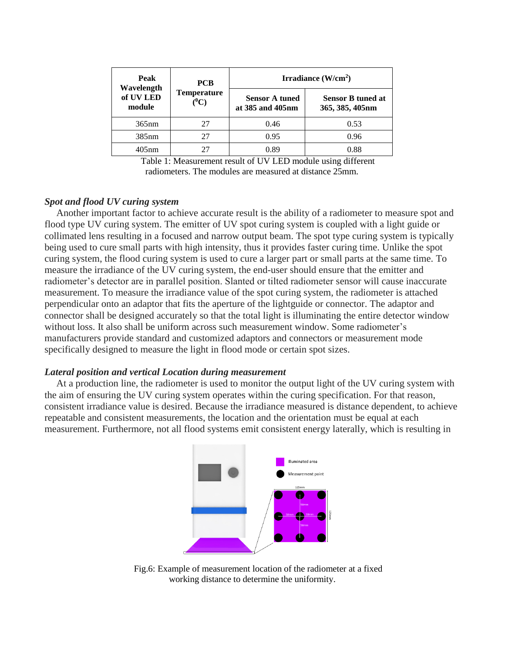| Peak<br>Wavelength<br>of UV LED<br>module | <b>PCB</b><br><b>Temperature</b><br>$(^0C)$ | Irradiance $(W/cm2)$                      |                                             |
|-------------------------------------------|---------------------------------------------|-------------------------------------------|---------------------------------------------|
|                                           |                                             | <b>Sensor A tuned</b><br>at 385 and 405nm | <b>Sensor B tuned at</b><br>365, 385, 405nm |
| 365nm                                     | 27                                          | 0.46                                      | 0.53                                        |
| 385nm                                     | 27                                          | 0.95                                      | 0.96                                        |
| $405$ nm                                  |                                             | 0.89                                      | 0.88                                        |

Table 1: Measurement result of UV LED module using different radiometers. The modules are measured at distance 25mm.

## *Spot and flood UV curing system*

Another important factor to achieve accurate result is the ability of a radiometer to measure spot and flood type UV curing system. The emitter of UV spot curing system is coupled with a light guide or collimated lens resulting in a focused and narrow output beam. The spot type curing system is typically being used to cure small parts with high intensity, thus it provides faster curing time. Unlike the spot curing system, the flood curing system is used to cure a larger part or small parts at the same time. To measure the irradiance of the UV curing system, the end-user should ensure that the emitter and radiometer's detector are in parallel position. Slanted or tilted radiometer sensor will cause inaccurate measurement. To measure the irradiance value of the spot curing system, the radiometer is attached perpendicular onto an adaptor that fits the aperture of the lightguide or connector. The adaptor and connector shall be designed accurately so that the total light is illuminating the entire detector window without loss. It also shall be uniform across such measurement window. Some radiometer's manufacturers provide standard and customized adaptors and connectors or measurement mode specifically designed to measure the light in flood mode or certain spot sizes.

#### *Lateral position and vertical Location during measurement*

At a production line, the radiometer is used to monitor the output light of the UV curing system with the aim of ensuring the UV curing system operates within the curing specification. For that reason, consistent irradiance value is desired. Because the irradiance measured is distance dependent, to achieve repeatable and consistent measurements, the location and the orientation must be equal at each measurement. Furthermore, not all flood systems emit consistent energy laterally, which is resulting in



Fig.6: Example of measurement location of the radiometer at a fixed working distance to determine the uniformity.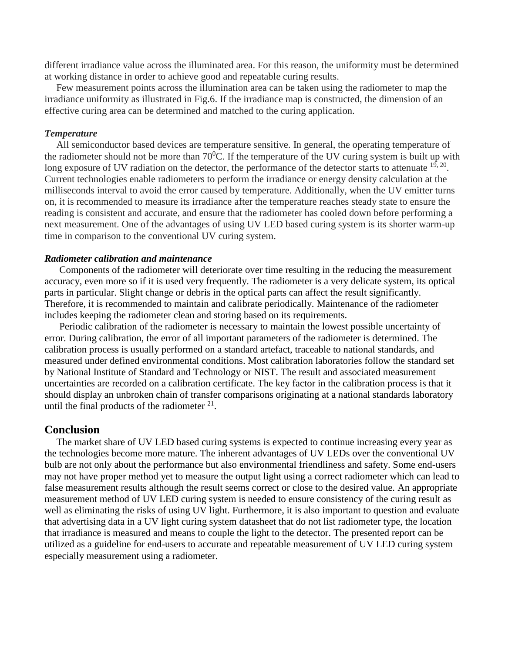different irradiance value across the illuminated area. For this reason, the uniformity must be determined at working distance in order to achieve good and repeatable curing results.

Few measurement points across the illumination area can be taken using the radiometer to map the irradiance uniformity as illustrated in Fig.6. If the irradiance map is constructed, the dimension of an effective curing area can be determined and matched to the curing application.

### *Temperature*

All semiconductor based devices are temperature sensitive. In general, the operating temperature of the radiometer should not be more than  $70^0$ C. If the temperature of the UV curing system is built up with long exposure of UV radiation on the detector, the performance of the detector starts to attenuate  $19, 20$ . Current technologies enable radiometers to perform the irradiance or energy density calculation at the milliseconds interval to avoid the error caused by temperature. Additionally, when the UV emitter turns on, it is recommended to measure its irradiance after the temperature reaches steady state to ensure the reading is consistent and accurate, and ensure that the radiometer has cooled down before performing a next measurement. One of the advantages of using UV LED based curing system is its shorter warm-up time in comparison to the conventional UV curing system.

### *Radiometer calibration and maintenance*

Components of the radiometer will deteriorate over time resulting in the reducing the measurement accuracy, even more so if it is used very frequently. The radiometer is a very delicate system, its optical parts in particular. Slight change or debris in the optical parts can affect the result significantly. Therefore, it is recommended to maintain and calibrate periodically. Maintenance of the radiometer includes keeping the radiometer clean and storing based on its requirements.

Periodic calibration of the radiometer is necessary to maintain the lowest possible uncertainty of error. During calibration, the error of all important parameters of the radiometer is determined. The calibration process is usually performed on a standard artefact, traceable to national standards, and measured under defined environmental conditions. Most calibration laboratories follow the standard set by National Institute of Standard and Technology or NIST. The result and associated measurement uncertainties are recorded on a calibration certificate. The key factor in the calibration process is that it should display an unbroken chain of transfer comparisons originating at a national standards laboratory until the final products of the radiometer  $21$ .

## **Conclusion**

The market share of UV LED based curing systems is expected to continue increasing every year as the technologies become more mature. The inherent advantages of UV LEDs over the conventional UV bulb are not only about the performance but also environmental friendliness and safety. Some end-users may not have proper method yet to measure the output light using a correct radiometer which can lead to false measurement results although the result seems correct or close to the desired value. An appropriate measurement method of UV LED curing system is needed to ensure consistency of the curing result as well as eliminating the risks of using UV light. Furthermore, it is also important to question and evaluate that advertising data in a UV light curing system datasheet that do not list radiometer type, the location that irradiance is measured and means to couple the light to the detector. The presented report can be utilized as a guideline for end-users to accurate and repeatable measurement of UV LED curing system especially measurement using a radiometer.